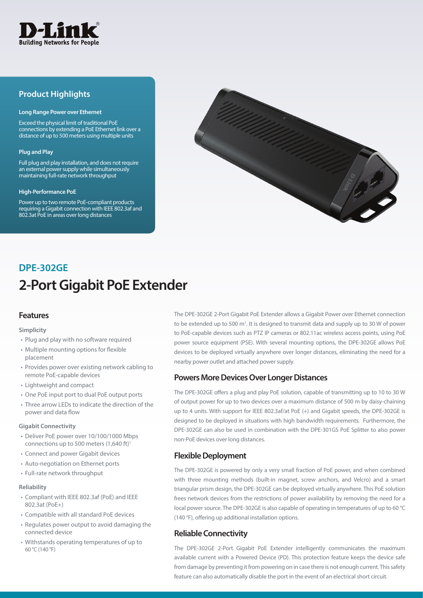

## **Product Highlights**

#### **Long Range Power over Ethernet**

Exceed the physical limit of traditional PoE connections by extending a PoE Ethernet link over a distance of up to 500 meters using multiple units

### **Plug and Play**

Full plug and play installation, and does not require an external power supply while simultaneously maintaining full-rate network throughput

#### **High-Performance PoE**

Power up to two remote PoE-compliant products requiring a Gigabit connection with IEEE 802.3af and 802.3at PoE in areas over long distances



# **2-Port Gigabit PoE Extender DPE-302GE**

## **Features**

### **Simplicity**

- Plug and play with no software required
- • Multiple mounting options for flexible placement
- Provides power over existing network cabling to remote PoE-capable devices
- • Lightweight and compact
- • One PoE input port to dual PoE output ports
- Three arrow LEDs to indicate the direction of the power and data flow

### **Gigabit Connectivity**

- Deliver PoE power over 10/100/1000 Mbps connections up to 500 meters  $(1,640 \text{ ft})$ <sup>1</sup>
- • Connect and power Gigabit devices
- • Auto-negotiation on Ethernet ports
- Full-rate network throughput

### **Reliability**

- • Compliant with IEEE 802.3af (PoE) and IEEE 802.3at (PoE+)
- • Compatible with all standard PoE devices
- • Regulates power output to avoid damaging the connected device
- • Withstands operating temperatures of up to 60 °C (140 °F)

The DPE-302GE 2-Port Gigabit PoE Extender allows a Gigabit Power over Ethernet connection to be extended up to 500 m<sup>1</sup>. It is designed to transmit data and supply up to 30 W of power to PoE-capable devices such as PTZ IP cameras or 802.11ac wireless access points, using PoE power source equipment (PSE). With several mounting options, the DPE-302GE allows PoE devices to be deployed virtually anywhere over longer distances, eliminating the need for a nearby power outlet and attached power supply.

## **Powers More Devices Over Longer Distances**

The DPE-302GE offers a plug and play PoE solution, capable of transmitting up to 10 to 30 W of output power for up to two devices over a maximum distance of 500 m by daisy-chaining up to 4 units. With support for IEEE 802.3af/at PoE (+) and Gigabit speeds, the DPE-302GE is designed to be deployed in situations with high bandwidth requirements. Furthermore, the DPE-302GE can also be used in combination with the DPE-301GS PoE Splitter to also power non-PoE devices over long distances.

## **Flexible Deployment**

The DPE-302GE is powered by only a very small fraction of PoE power, and when combined with three mounting methods (built-in magnet, screw anchors, and Velcro) and a smart triangular prism design, the DPE-302GE can be deployed virtually anywhere. This PoE solution frees network devices from the restrictions of power availability by removing the need for a local power source. The DPE-302GE is also capable of operating in temperatures of up to 60 °C (140 °F), offering up additional installation options.

## **Reliable Connectivity**

The DPE-302GE 2-Port Gigabit PoE Extender intelligently communicates the maximum available current with a Powered Device (PD). This protection feature keeps the device safe from damage by preventing it from powering on in case there is not enough current. This safety feature can also automatically disable the port in the event of an electrical short circuit.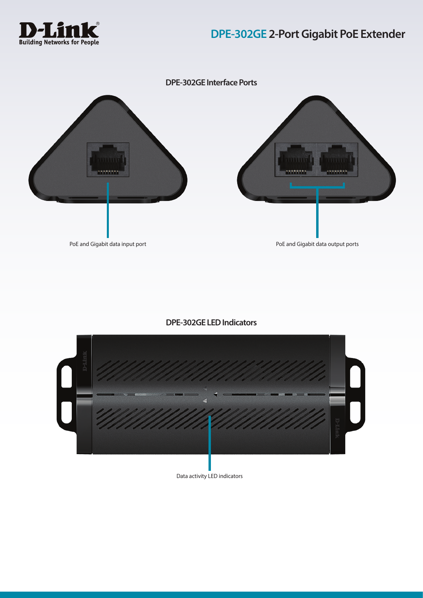



## **DPE-302GE LED Indicators**



Data activity LED indicators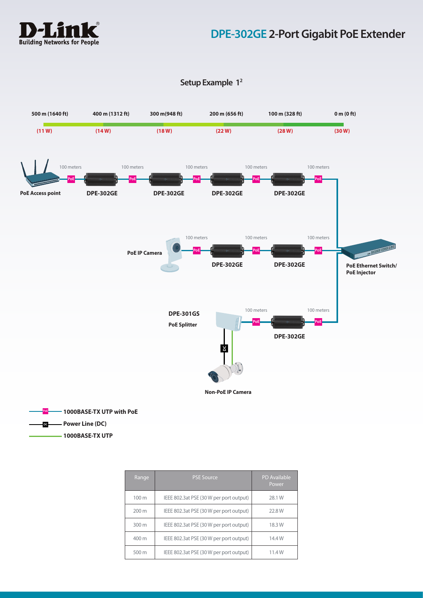

# **DPE-302GE 2-Port Gigabit PoE Extender**

## **Setup Example 12**



**Power Line (DC) DC**

**1000BASE-TX UTP** 

| Range            | <b>PSE Source</b>                       | <b>PD</b> Available<br>Power |
|------------------|-----------------------------------------|------------------------------|
| 100 <sub>m</sub> | IEEE 802.3at PSE (30 W per port output) | 28.1 W                       |
| $200 \text{ m}$  | IEEE 802.3at PSE (30 W per port output) | 22.8 W                       |
| 300 m            | IEEE 802.3at PSE (30 W per port output) | 18.3W                        |
| 400 m            | IEEE 802.3at PSE (30 W per port output) | 14.4W                        |
| 500 m            | IEEE 802.3at PSE (30 W per port output) | 11.4W                        |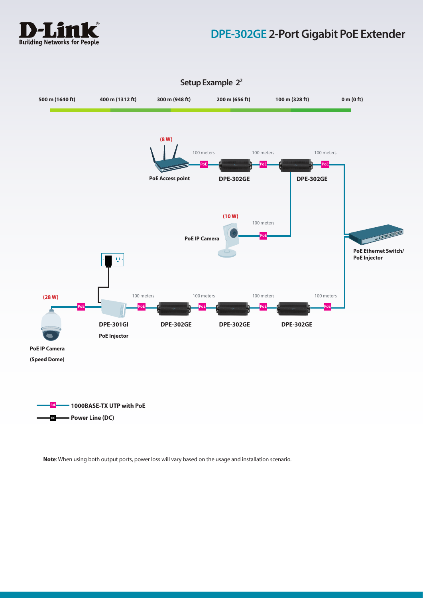

# **DPE-302GE 2-Port Gigabit PoE Extender**



## **Setup Example 22**

**Note**: When using both output ports, power loss will vary based on the usage and installation scenario.

**DC Power Line (DC)**